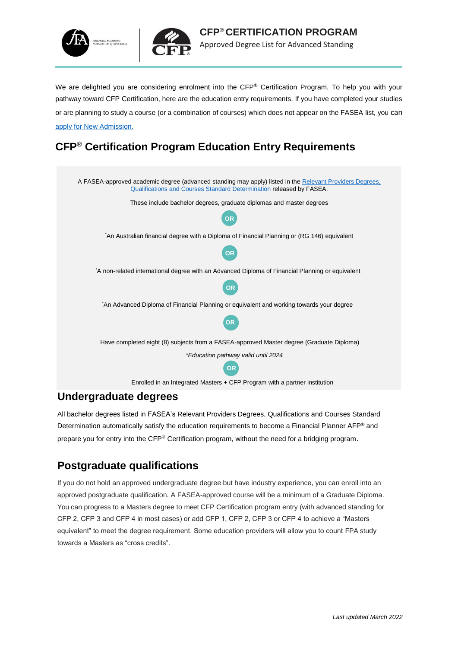



We are delighted you are considering enrolment into the CFP® Certification Program. To help you with your pathway toward CFP Certification, here are the education entry requirements. If you have completed your studies or are planning to study a course (or a combination of courses) which does not appear on the FASEA list, you can [apply for New Admission.](https://portal.fpa.com.au/Web/FPA/CFP_Enrolment_Application.aspx)

# **CFP® Certification Program Education Entry Requirements**



#### **Undergraduate degrees**

All bachelor degrees listed in FASEA's Relevant Providers Degrees, Qualifications and Courses Standard Determination automatically satisfy the education requirements to become a Financial Planner AFP® and prepare you for entry into the CFP® Certification program, without the need for a bridging program.

#### **Postgraduate qualifications**

If you do not hold an approved undergraduate degree but have industry experience, you can enroll into an approved postgraduate qualification. A FASEA-approved course will be a minimum of a Graduate Diploma. You can progress to a Masters degree to meet CFP Certification program entry (with advanced standing for CFP 2, CFP 3 and CFP 4 in most cases) or add CFP 1, CFP 2, CFP 3 or CFP 4 to achieve a "Masters equivalent" to meet the degree requirement. Some education providers will allow you to count FPA study towards a Masters as "cross credits".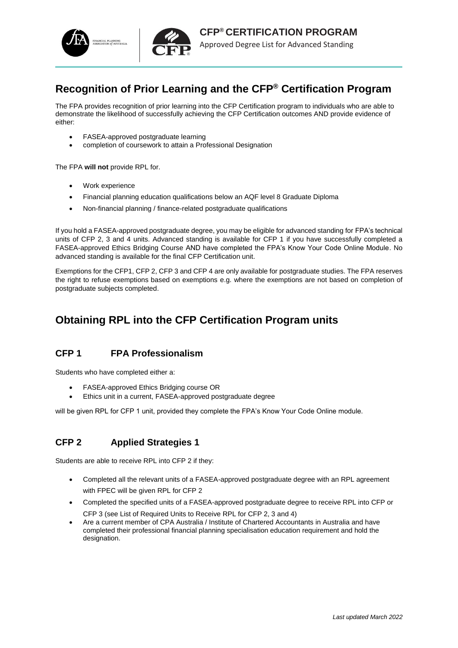



#### **Recognition of Prior Learning and the CFP® Certification Program**

The FPA provides recognition of prior learning into the CFP Certification program to individuals who are able to demonstrate the likelihood of successfully achieving the CFP Certification outcomes AND provide evidence of either:

- FASEA-approved postgraduate learning
- completion of coursework to attain a Professional Designation

The FPA **will not** provide RPL for.

- Work experience
- Financial planning education qualifications below an AQF level 8 Graduate Diploma
- Non-financial planning / finance-related postgraduate qualifications

If you hold a FASEA-approved postgraduate degree, you may be eligible for advanced standing for FPA's technical units of CFP 2, 3 and 4 units. Advanced standing is available for CFP 1 if you have successfully completed a FASEA-approved Ethics Bridging Course AND have completed the FPA's Know Your Code Online Module. No advanced standing is available for the final CFP Certification unit.

Exemptions for the CFP1, CFP 2, CFP 3 and CFP 4 are only available for postgraduate studies. The FPA reserves the right to refuse exemptions based on exemptions e.g. where the exemptions are not based on completion of postgraduate subjects completed.

#### **Obtaining RPL into the CFP Certification Program units**

#### **CFP 1 FPA Professionalism**

Students who have completed either a:

- FASEA-approved Ethics Bridging course OR
- Ethics unit in a current, FASEA-approved postgraduate degree

will be given RPL for CFP 1 unit, provided they complete the FPA's Know Your Code Online module.

#### **CFP 2 Applied Strategies 1**

Students are able to receive RPL into CFP 2 if they:

- Completed all the relevant units of a FASEA-approved postgraduate degree with an RPL agreement with FPEC will be given RPL for CFP 2
- Completed the specified units of a FASEA-approved postgraduate degree to receive RPL into CFP or CFP 3 (see List of Required Units to Receive RPL for CFP 2, 3 and 4)
- Are a current member of CPA Australia / Institute of Chartered Accountants in Australia and have completed their professional financial planning specialisation education requirement and hold the designation.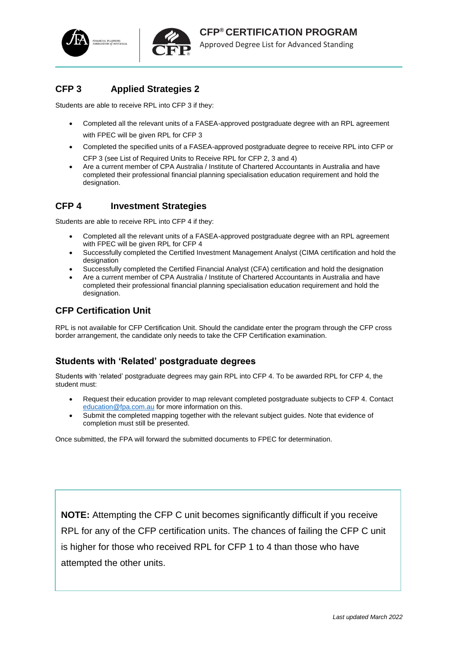



#### **CFP 3 Applied Strategies 2**

Students are able to receive RPL into CFP 3 if they:

- Completed all the relevant units of a FASEA-approved postgraduate degree with an RPL agreement with FPEC will be given RPL for CFP 3
- Completed the specified units of a FASEA-approved postgraduate degree to receive RPL into CFP or CFP 3 (see List of Required Units to Receive RPL for CFP 2, 3 and 4)
- Are a current member of CPA Australia / Institute of Chartered Accountants in Australia and have completed their professional financial planning specialisation education requirement and hold the designation.

#### **CFP 4 Investment Strategies**

Students are able to receive RPL into CFP 4 if they:

- Completed all the relevant units of a FASEA-approved postgraduate degree with an RPL agreement with FPEC will be given RPL for CFP 4
- Successfully completed the Certified Investment Management Analyst (CIMA certification and hold the designation
- Successfully completed the Certified Financial Analyst (CFA) certification and hold the designation
- Are a current member of CPA Australia / Institute of Chartered Accountants in Australia and have completed their professional financial planning specialisation education requirement and hold the designation.

#### **CFP Certification Unit**

RPL is not available for CFP Certification Unit. Should the candidate enter the program through the CFP cross border arrangement, the candidate only needs to take the CFP Certification examination.

#### **Students with 'Related' postgraduate degrees**

Students with 'related' postgraduate degrees may gain RPL into CFP 4. To be awarded RPL for CFP 4, the student must:

- Request their education provider to map relevant completed postgraduate subjects to CFP 4. Contact [education@fpa.com.au](mailto:education@fpa.com.au) for more information on this.
- Submit the completed mapping together with the relevant subject guides. Note that evidence of completion must still be presented.

Once submitted, the FPA will forward the submitted documents to FPEC for determination.

**NOTE:** Attempting the CFP C unit becomes significantly difficult if you receive RPL for any of the CFP certification units. The chances of failing the CFP C unit is higher for those who received RPL for CFP 1 to 4 than those who have attempted the other units.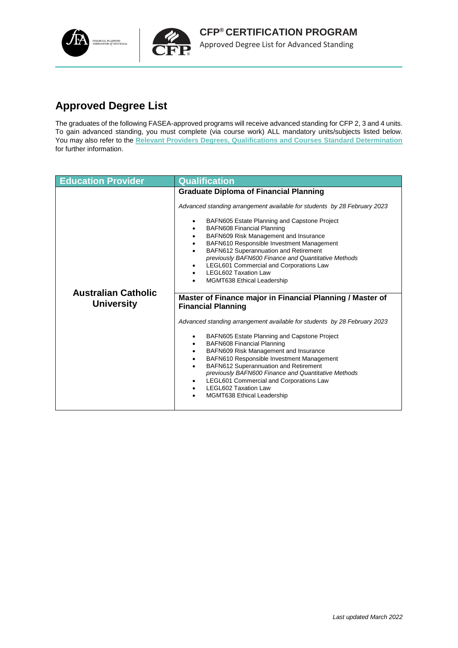

# **Approved Degree List**

The graduates of the following FASEA-approved programs will receive advanced standing for CFP 2, 3 and 4 units. To gain advanced standing, you must complete (via course work) ALL mandatory units/subjects listed below. You may also refer to the **[Relevant Providers Degrees, Qualifications and Courses Standard Determination](https://www.legislation.gov.au/Details/F2018L01833)** for further information.

| <b>Graduate Diploma of Financial Planning</b>                                                                                                                                                                                                                                                                                                                                                                                                                                                                                                                                                                                                                                                                                                                                                                                                                                                                                                                                                                                                                                         |
|---------------------------------------------------------------------------------------------------------------------------------------------------------------------------------------------------------------------------------------------------------------------------------------------------------------------------------------------------------------------------------------------------------------------------------------------------------------------------------------------------------------------------------------------------------------------------------------------------------------------------------------------------------------------------------------------------------------------------------------------------------------------------------------------------------------------------------------------------------------------------------------------------------------------------------------------------------------------------------------------------------------------------------------------------------------------------------------|
| Advanced standing arrangement available for students by 28 February 2023<br>BAFN605 Estate Planning and Capstone Project<br><b>BAFN608 Financial Planning</b><br>BAFN609 Risk Management and Insurance<br>BAFN610 Responsible Investment Management<br>BAFN612 Superannuation and Retirement<br>previously BAFN600 Finance and Quantitative Methods<br>LEGL601 Commercial and Corporations Law<br><b>LEGL602 Taxation Law</b><br><b>MGMT638 Ethical Leadership</b><br><b>Australian Catholic</b><br>Master of Finance major in Financial Planning / Master of<br><b>University</b><br><b>Financial Planning</b><br>Advanced standing arrangement available for students by 28 February 2023<br>BAFN605 Estate Planning and Capstone Project<br><b>BAFN608 Financial Planning</b><br>BAFN609 Risk Management and Insurance<br>BAFN610 Responsible Investment Management<br>BAFN612 Superannuation and Retirement<br>previously BAFN600 Finance and Quantitative Methods<br>LEGL601 Commercial and Corporations Law<br><b>LEGL602 Taxation Law</b><br><b>MGMT638 Ethical Leadership</b> |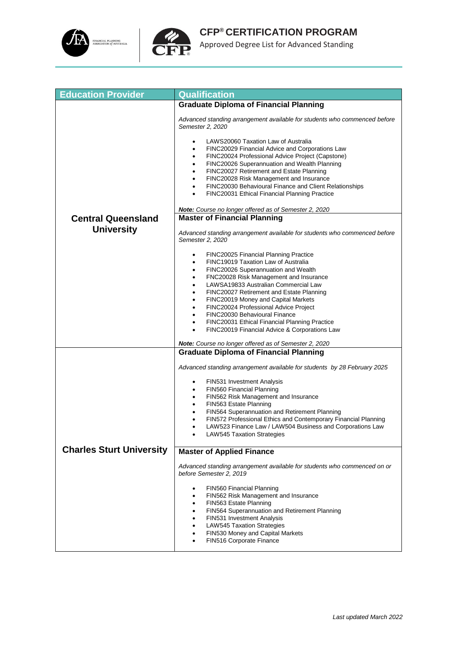



| <b>Education Provider</b>       | <b>Qualification</b>                                                                                                                                                                                                                                                                                                                                                                                                                                                                                                                                                                                                                                                                                                                                                                                                                                         |
|---------------------------------|--------------------------------------------------------------------------------------------------------------------------------------------------------------------------------------------------------------------------------------------------------------------------------------------------------------------------------------------------------------------------------------------------------------------------------------------------------------------------------------------------------------------------------------------------------------------------------------------------------------------------------------------------------------------------------------------------------------------------------------------------------------------------------------------------------------------------------------------------------------|
|                                 | <b>Graduate Diploma of Financial Planning</b>                                                                                                                                                                                                                                                                                                                                                                                                                                                                                                                                                                                                                                                                                                                                                                                                                |
|                                 | Advanced standing arrangement available for students who commenced before<br>Semester 2, 2020                                                                                                                                                                                                                                                                                                                                                                                                                                                                                                                                                                                                                                                                                                                                                                |
|                                 | LAWS20060 Taxation Law of Australia<br>٠<br>FINC20029 Financial Advice and Corporations Law<br>$\bullet$<br>FINC20024 Professional Advice Project (Capstone)<br>٠<br>FINC20026 Superannuation and Wealth Planning<br>$\bullet$<br>FINC20027 Retirement and Estate Planning<br>$\bullet$<br>FINC20028 Risk Management and Insurance<br>$\bullet$<br>FINC20030 Behavioural Finance and Client Relationships<br>$\bullet$<br>FINC20031 Ethical Financial Planning Practice<br>$\bullet$                                                                                                                                                                                                                                                                                                                                                                         |
|                                 | Note: Course no longer offered as of Semester 2, 2020                                                                                                                                                                                                                                                                                                                                                                                                                                                                                                                                                                                                                                                                                                                                                                                                        |
| <b>Central Queensland</b>       | <b>Master of Financial Planning</b>                                                                                                                                                                                                                                                                                                                                                                                                                                                                                                                                                                                                                                                                                                                                                                                                                          |
| <b>University</b>               | Advanced standing arrangement available for students who commenced before<br>Semester 2, 2020                                                                                                                                                                                                                                                                                                                                                                                                                                                                                                                                                                                                                                                                                                                                                                |
|                                 | FINC20025 Financial Planning Practice<br>FINC19019 Taxation Law of Australia<br>$\bullet$<br>FINC20026 Superannuation and Wealth<br>FNC20028 Risk Management and Insurance<br>$\bullet$<br>LAWSA19833 Australian Commercial Law<br>$\bullet$<br>FINC20027 Retirement and Estate Planning<br>$\bullet$<br>FINC20019 Money and Capital Markets<br>$\bullet$<br>FINC20024 Professional Advice Project<br>$\bullet$<br>FINC20030 Behavioural Finance<br>$\bullet$<br>FINC20031 Ethical Financial Planning Practice<br>$\bullet$<br>FINC20019 Financial Advice & Corporations Law<br>$\bullet$<br>Note: Course no longer offered as of Semester 2, 2020<br><b>Graduate Diploma of Financial Planning</b><br>Advanced standing arrangement available for students by 28 February 2025<br>FIN531 Investment Analysis<br>$\bullet$<br>FIN560 Financial Planning<br>٠ |
|                                 | FIN562 Risk Management and Insurance<br>$\bullet$<br>FIN563 Estate Planning                                                                                                                                                                                                                                                                                                                                                                                                                                                                                                                                                                                                                                                                                                                                                                                  |
|                                 | $\bullet$<br>FIN564 Superannuation and Retirement Planning<br>$\bullet$                                                                                                                                                                                                                                                                                                                                                                                                                                                                                                                                                                                                                                                                                                                                                                                      |
|                                 | FIN572 Professional Ethics and Contemporary Financial Planning<br>$\bullet$<br>LAW523 Finance Law / LAW504 Business and Corporations Law<br>LAW545 Taxation Strategies                                                                                                                                                                                                                                                                                                                                                                                                                                                                                                                                                                                                                                                                                       |
| <b>Charles Sturt University</b> | <b>Master of Applied Finance</b>                                                                                                                                                                                                                                                                                                                                                                                                                                                                                                                                                                                                                                                                                                                                                                                                                             |
|                                 | Advanced standing arrangement available for students who commenced on or<br>before Semester 2, 2019                                                                                                                                                                                                                                                                                                                                                                                                                                                                                                                                                                                                                                                                                                                                                          |
|                                 | FIN560 Financial Planning<br>FIN562 Risk Management and Insurance<br>FIN563 Estate Planning<br>٠<br>FIN564 Superannuation and Retirement Planning<br>FIN531 Investment Analysis<br>LAW545 Taxation Strategies<br>٠<br>FIN530 Money and Capital Markets<br>٠<br>FIN516 Corporate Finance<br>$\bullet$                                                                                                                                                                                                                                                                                                                                                                                                                                                                                                                                                         |
|                                 |                                                                                                                                                                                                                                                                                                                                                                                                                                                                                                                                                                                                                                                                                                                                                                                                                                                              |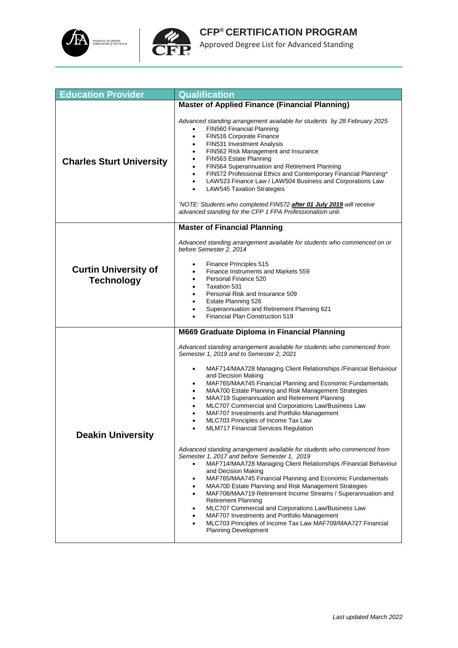



| <b>Education Provider</b>                        | <b>Qualification</b>                                                                                                                                                                                                                                                                                                                                                                                                                                                                                                                                                                                                                                   |
|--------------------------------------------------|--------------------------------------------------------------------------------------------------------------------------------------------------------------------------------------------------------------------------------------------------------------------------------------------------------------------------------------------------------------------------------------------------------------------------------------------------------------------------------------------------------------------------------------------------------------------------------------------------------------------------------------------------------|
|                                                  | <b>Master of Applied Finance (Financial Planning)</b>                                                                                                                                                                                                                                                                                                                                                                                                                                                                                                                                                                                                  |
| <b>Charles Sturt University</b>                  | Advanced standing arrangement available for students by 28 February 2025<br>FIN560 Financial Planning<br>FIN516 Corporate Finance<br>$\bullet$<br>FIN531 Investment Analysis<br>٠<br>FIN562 Risk Management and Insurance<br>٠<br>FIN563 Estate Planning<br>FIN564 Superannuation and Retirement Planning<br>FIN572 Professional Ethics and Contemporary Financial Planning*<br>$\bullet$<br>LAW523 Finance Law / LAW504 Business and Corporations Law<br><b>LAW545 Taxation Strategies</b><br>$\bullet$<br>NOTE: Students who completed FIN572 after 01 July 2019 will receive<br>advanced standing for the CFP 1 FPA Professionalism unit.           |
|                                                  | <b>Master of Financial Planning</b>                                                                                                                                                                                                                                                                                                                                                                                                                                                                                                                                                                                                                    |
| <b>Curtin University of</b><br><b>Technology</b> | Advanced standing arrangement available for students who commenced on or<br>before Semester 2, 2014<br>Finance Principles 515<br>Finance Instruments and Markets 559<br>Personal Finance 520<br>Taxation 531<br>Personal Risk and Insurance 509<br>Estate Planning 526<br>٠<br>Superannuation and Retirement Planning 621<br>Financial Plan Construction 519                                                                                                                                                                                                                                                                                           |
|                                                  | M669 Graduate Diploma in Financial Planning                                                                                                                                                                                                                                                                                                                                                                                                                                                                                                                                                                                                            |
| <b>Deakin University</b>                         | Advanced standing arrangement available for students who commenced from<br>Semester 1, 2019 and to Semester 2, 2021<br>MAF714/MAA728 Managing Client Relationships / Financial Behaviour<br>٠<br>and Decision Making<br>MAF765/MAA745 Financial Planning and Economic Fundamentals<br>MAA700 Estate Planning and Risk Management Strategies<br>$\bullet$<br>MAA719 Superannuation and Retirement Planning<br>MLC707 Commercial and Corporations Law/Business Law<br>٠<br>MAF707 Investments and Portfolio Management<br>MLC703 Principles of Income Tax Law<br>MLM717 Financial Services Regulation                                                    |
|                                                  | Advanced standing arrangement available for students who commenced from<br>Semester 1, 2017 and before Semester 1, 2019<br>MAF714/MAA728 Managing Client Relationships / Financial Behaviour<br>and Decision Making<br>MAF765/MAA745 Financial Planning and Economic Fundamentals<br>٠<br>MAA700 Estate Planning and Risk Management Strategies<br>MAF708/MAA719 Retirement Income Streams / Superannuation and<br>٠<br><b>Retirement Planning</b><br>MLC707 Commercial and Corporations Law/Business Law<br>MAF707 Investments and Portfolio Management<br>MLC703 Principles of Income Tax Law MAF709/MAA727 Financial<br><b>Planning Development</b> |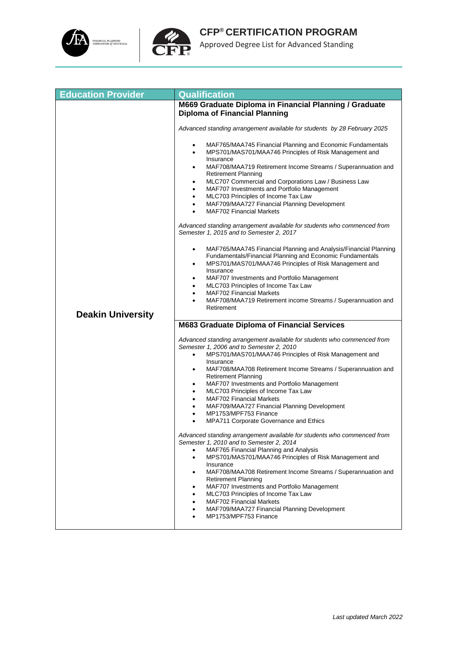



| <b>Education Provider</b> | <b>Qualification</b>                                                                                                                                                                              |
|---------------------------|---------------------------------------------------------------------------------------------------------------------------------------------------------------------------------------------------|
|                           | M669 Graduate Diploma in Financial Planning / Graduate                                                                                                                                            |
|                           | <b>Diploma of Financial Planning</b>                                                                                                                                                              |
|                           | Advanced standing arrangement available for students by 28 February 2025                                                                                                                          |
|                           | MAF765/MAA745 Financial Planning and Economic Fundamentals<br>٠<br>MPS701/MAS701/MAA746 Principles of Risk Management and<br>٠<br>Insurance                                                       |
|                           | MAF708/MAA719 Retirement Income Streams / Superannuation and<br>$\bullet$<br><b>Retirement Planning</b>                                                                                           |
|                           | MLC707 Commercial and Corporations Law / Business Law<br>$\bullet$<br>MAF707 Investments and Portfolio Management<br>٠                                                                            |
|                           | MLC703 Principles of Income Tax Law<br>٠                                                                                                                                                          |
|                           | MAF709/MAA727 Financial Planning Development<br>$\bullet$<br><b>MAF702 Financial Markets</b><br>$\bullet$                                                                                         |
|                           | Advanced standing arrangement available for students who commenced from<br>Semester 1, 2015 and to Semester 2, 2017                                                                               |
|                           | MAF765/MAA745 Financial Planning and Analysis/Financial Planning<br>٠<br>Fundamentals/Financial Planning and Economic Fundamentals<br>MPS701/MAS701/MAA746 Principles of Risk Management and<br>٠ |
|                           | Insurance<br>MAF707 Investments and Portfolio Management<br>$\bullet$                                                                                                                             |
|                           | MLC703 Principles of Income Tax Law<br>٠                                                                                                                                                          |
|                           | <b>MAF702 Financial Markets</b><br>٠<br>MAF708/MAA719 Retirement income Streams / Superannuation and                                                                                              |
|                           | Retirement                                                                                                                                                                                        |
| <b>Deakin University</b>  |                                                                                                                                                                                                   |
|                           | <b>M683 Graduate Diploma of Financial Services</b>                                                                                                                                                |
|                           | Advanced standing arrangement available for students who commenced from<br>Semester 1, 2006 and to Semester 2, 2010                                                                               |
|                           | MPS701/MAS701/MAA746 Principles of Risk Management and<br>$\bullet$<br>Insurance                                                                                                                  |
|                           | MAF708/MAA708 Retirement Income Streams / Superannuation and<br>٠<br><b>Retirement Planning</b>                                                                                                   |
|                           | MAF707 Investments and Portfolio Management<br>$\bullet$                                                                                                                                          |
|                           | MLC703 Principles of Income Tax Law<br>٠                                                                                                                                                          |
|                           | <b>MAF702 Financial Markets</b><br>٠<br>MAF709/MAA727 Financial Planning Development<br>٠                                                                                                         |
|                           | MP1753/MPF753 Finance<br>٠                                                                                                                                                                        |
|                           | MPA711 Corporate Governance and Ethics                                                                                                                                                            |
|                           | Advanced standing arrangement available for students who commenced from<br>Semester 1, 2010 and to Semester 2, 2014                                                                               |
|                           | MAF765 Financial Planning and Analysis                                                                                                                                                            |
|                           | MPS701/MAS701/MAA746 Principles of Risk Management and<br>Insurance                                                                                                                               |
|                           | MAF708/MAA708 Retirement Income Streams / Superannuation and<br>٠<br><b>Retirement Planning</b>                                                                                                   |
|                           | MAF707 Investments and Portfolio Management<br>$\bullet$                                                                                                                                          |
|                           | MLC703 Principles of Income Tax Law<br><b>MAF702 Financial Markets</b><br>$\bullet$                                                                                                               |
|                           | MAF709/MAA727 Financial Planning Development                                                                                                                                                      |
|                           | MP1753/MPF753 Finance                                                                                                                                                                             |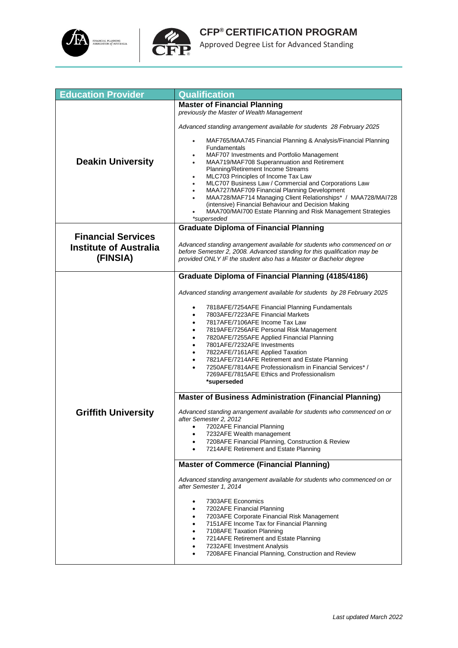



| <b>Education Provider</b>                 | <b>Qualification</b>                                                                                                                                                                                                      |
|-------------------------------------------|---------------------------------------------------------------------------------------------------------------------------------------------------------------------------------------------------------------------------|
|                                           | <b>Master of Financial Planning</b>                                                                                                                                                                                       |
|                                           | previously the Master of Wealth Management                                                                                                                                                                                |
|                                           | Advanced standing arrangement available for students 28 February 2025                                                                                                                                                     |
|                                           | MAF765/MAA745 Financial Planning & Analysis/Financial Planning<br>Fundamentals                                                                                                                                            |
| <b>Deakin University</b>                  | MAF707 Investments and Portfolio Management<br>MAA719/MAF708 Superannuation and Retirement                                                                                                                                |
|                                           | Planning/Retirement Income Streams                                                                                                                                                                                        |
|                                           | MLC703 Principles of Income Tax Law                                                                                                                                                                                       |
|                                           | MLC707 Business Law / Commercial and Corporations Law<br>MAA727/MAF709 Financial Planning Development                                                                                                                     |
|                                           | MAA728/MAF714 Managing Client Relationships* / MAA728/MAI728                                                                                                                                                              |
|                                           | (intensive) Financial Behaviour and Decision Making                                                                                                                                                                       |
|                                           | MAA700/MAI700 Estate Planning and Risk Management Strategies<br>*superseded                                                                                                                                               |
|                                           | <b>Graduate Diploma of Financial Planning</b>                                                                                                                                                                             |
| <b>Financial Services</b>                 |                                                                                                                                                                                                                           |
| <b>Institute of Australia</b><br>(FINSIA) | Advanced standing arrangement available for students who commenced on or<br>before Semester 2, 2008. Advanced standing for this qualification may be<br>provided ONLY IF the student also has a Master or Bachelor degree |
|                                           | <b>Graduate Diploma of Financial Planning (4185/4186)</b>                                                                                                                                                                 |
|                                           |                                                                                                                                                                                                                           |
|                                           | Advanced standing arrangement available for students by 28 February 2025                                                                                                                                                  |
|                                           |                                                                                                                                                                                                                           |
|                                           | 7818AFE/7254AFE Financial Planning Fundamentals<br>7803AFE/7223AFE Financial Markets                                                                                                                                      |
|                                           | 7817AFE/7106AFE Income Tax Law<br>$\bullet$                                                                                                                                                                               |
|                                           | 7819AFE/7256AFE Personal Risk Management                                                                                                                                                                                  |
|                                           | 7820AFE/7255AFE Applied Financial Planning<br>٠<br>7801AFE/7232AFE Investments                                                                                                                                            |
|                                           | 7822AFE/7161AFE Applied Taxation<br>$\bullet$                                                                                                                                                                             |
|                                           | 7821AFE/7214AFE Retirement and Estate Planning                                                                                                                                                                            |
|                                           | 7250AFE/7814AFE Professionalism in Financial Services* /                                                                                                                                                                  |
|                                           | 7269AFE/7815AFE Ethics and Professionalism<br>*superseded                                                                                                                                                                 |
|                                           |                                                                                                                                                                                                                           |
|                                           | <b>Master of Business Administration (Financial Planning)</b>                                                                                                                                                             |
| <b>Griffith University</b>                | Advanced standing arrangement available for students who commenced on or<br>after Semester 2, 2012                                                                                                                        |
|                                           | 7202AFE Financial Planning<br>$\bullet$                                                                                                                                                                                   |
|                                           | 7232AFE Wealth management<br>7208AFE Financial Planning, Construction & Review<br>٠                                                                                                                                       |
|                                           | 7214AFE Retirement and Estate Planning                                                                                                                                                                                    |
|                                           | <b>Master of Commerce (Financial Planning)</b>                                                                                                                                                                            |
|                                           |                                                                                                                                                                                                                           |
|                                           | Advanced standing arrangement available for students who commenced on or<br>after Semester 1, 2014                                                                                                                        |
|                                           | 7303AFE Economics<br>٠                                                                                                                                                                                                    |
|                                           | 7202AFE Financial Planning                                                                                                                                                                                                |
|                                           | 7203AFE Corporate Financial Risk Management<br>٠<br>7151AFE Income Tax for Financial Planning                                                                                                                             |
|                                           | 7108AFE Taxation Planning                                                                                                                                                                                                 |
|                                           | 7214AFE Retirement and Estate Planning                                                                                                                                                                                    |
|                                           | 7232AFE Investment Analysis<br>٠<br>7208AFE Financial Planning, Construction and Review                                                                                                                                   |
|                                           |                                                                                                                                                                                                                           |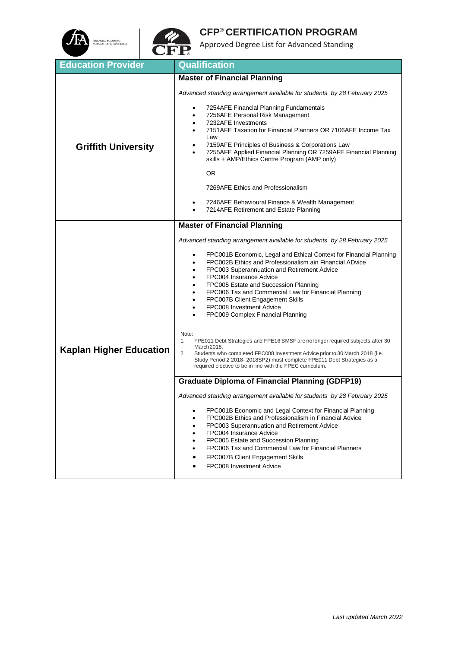



| <b>Education Provider</b>      | <b>Qualification</b>                                                                                                                                                                                                                                                                                                                                                                                                                                                                                                                       |
|--------------------------------|--------------------------------------------------------------------------------------------------------------------------------------------------------------------------------------------------------------------------------------------------------------------------------------------------------------------------------------------------------------------------------------------------------------------------------------------------------------------------------------------------------------------------------------------|
|                                | <b>Master of Financial Planning</b>                                                                                                                                                                                                                                                                                                                                                                                                                                                                                                        |
| <b>Griffith University</b>     | Advanced standing arrangement available for students by 28 February 2025                                                                                                                                                                                                                                                                                                                                                                                                                                                                   |
|                                | 7254AFE Financial Planning Fundamentals<br>7256AFE Personal Risk Management<br>٠<br>7232AFE Investments<br>٠<br>7151AFE Taxation for Financial Planners OR 7106AFE Income Tax<br>$\bullet$<br>Law<br>7159AFE Principles of Business & Corporations Law<br>٠<br>7255AFE Applied Financial Planning OR 7259AFE Financial Planning<br>$\bullet$<br>skills + AMP/Ethics Centre Program (AMP only)                                                                                                                                              |
|                                | OR.                                                                                                                                                                                                                                                                                                                                                                                                                                                                                                                                        |
|                                | 7269AFE Ethics and Professionalism                                                                                                                                                                                                                                                                                                                                                                                                                                                                                                         |
|                                | 7246AFE Behavioural Finance & Wealth Management<br>٠<br>7214AFE Retirement and Estate Planning                                                                                                                                                                                                                                                                                                                                                                                                                                             |
|                                | <b>Master of Financial Planning</b>                                                                                                                                                                                                                                                                                                                                                                                                                                                                                                        |
| <b>Kaplan Higher Education</b> | Advanced standing arrangement available for students by 28 February 2025<br>FPC001B Economic, Legal and Ethical Context for Financial Planning<br>FPC002B Ethics and Professionalism ain Financial ADvice<br>FPC003 Superannuation and Retirement Advice<br>٠<br>FPC004 Insurance Advice<br>$\bullet$<br>FPC005 Estate and Succession Planning<br>$\bullet$<br>FPC006 Tax and Commercial Law for Financial Planning<br>FPC007B Client Engagement Skills<br>$\bullet$<br>FPC008 Investment Advice<br>٠<br>FPC009 Complex Financial Planning |
|                                | Note:<br>FPE011 Debt Strategies and FPE16 SMSF are no longer required subjects after 30<br>1.<br>March 2018.<br>2.<br>Students who completed FPC008 Investment Advice prior to 30 March 2018 (i.e.<br>Study Period 2 2018-2018SP2) must complete FPE011 Debt Strategies as a<br>required elective to be in line with the FPEC curriculum.                                                                                                                                                                                                  |
|                                | <b>Graduate Diploma of Financial Planning (GDFP19)</b>                                                                                                                                                                                                                                                                                                                                                                                                                                                                                     |
|                                | Advanced standing arrangement available for students by 28 February 2025<br>FPC001B Economic and Legal Context for Financial Planning<br>٠<br>FPC002B Ethics and Professionalism in Financial Advice<br>٠<br>FPC003 Superannuation and Retirement Advice<br>$\bullet$<br>FPC004 Insurance Advice<br>FPC005 Estate and Succession Planning<br>$\bullet$<br>FPC006 Tax and Commercial Law for Financial Planners<br>FPC007B Client Engagement Skills<br>FPC008 Investment Advice                                                             |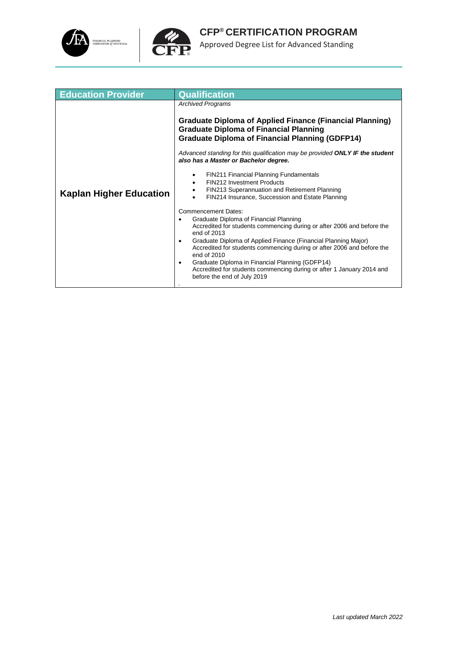



| <b>Education Provider</b>      | <b>Qualification</b>                                                                                                                                                                                                                                                                                                                                                                                                                                                                                                                                                                                                                                                                                                                                                                                                                                                                      |
|--------------------------------|-------------------------------------------------------------------------------------------------------------------------------------------------------------------------------------------------------------------------------------------------------------------------------------------------------------------------------------------------------------------------------------------------------------------------------------------------------------------------------------------------------------------------------------------------------------------------------------------------------------------------------------------------------------------------------------------------------------------------------------------------------------------------------------------------------------------------------------------------------------------------------------------|
|                                | <b>Archived Programs</b><br><b>Graduate Diploma of Applied Finance (Financial Planning)</b><br><b>Graduate Diploma of Financial Planning</b>                                                                                                                                                                                                                                                                                                                                                                                                                                                                                                                                                                                                                                                                                                                                              |
| <b>Kaplan Higher Education</b> | <b>Graduate Diploma of Financial Planning (GDFP14)</b><br>Advanced standing for this qualification may be provided ONLY IF the student<br>also has a Master or Bachelor degree.<br>FIN211 Financial Planning Fundamentals<br><b>FIN212 Investment Products</b><br>FIN213 Superannuation and Retirement Planning<br>٠<br>FIN214 Insurance, Succession and Estate Planning<br><b>Commencement Dates:</b><br>Graduate Diploma of Financial Planning<br>Accredited for students commencing during or after 2006 and before the<br>end of 2013<br>Graduate Diploma of Applied Finance (Financial Planning Major)<br>$\bullet$<br>Accredited for students commencing during or after 2006 and before the<br>end of 2010<br>Graduate Diploma in Financial Planning (GDFP14)<br>$\bullet$<br>Accredited for students commencing during or after 1 January 2014 and<br>before the end of July 2019 |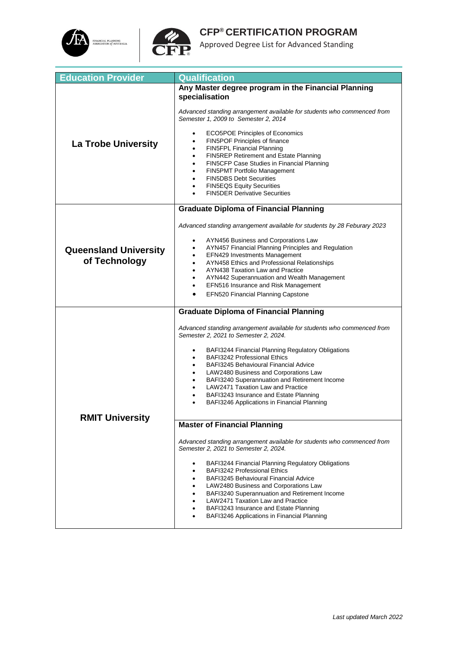



| <b>Education Provider</b>    | Qualification                                                                                                    |
|------------------------------|------------------------------------------------------------------------------------------------------------------|
|                              | Any Master degree program in the Financial Planning                                                              |
|                              | specialisation                                                                                                   |
|                              |                                                                                                                  |
|                              | Advanced standing arrangement available for students who commenced from<br>Semester 1, 2009 to Semester 2, 2014  |
|                              |                                                                                                                  |
|                              | <b>ECO5POE Principles of Economics</b>                                                                           |
| <b>La Trobe University</b>   | FIN5POF Principles of finance                                                                                    |
|                              | FIN5FPL Financial Planning                                                                                       |
|                              | FIN5REP Retirement and Estate Planning<br>$\bullet$                                                              |
|                              | FIN5CFP Case Studies in Financial Planning<br><b>FIN5PMT Portfolio Management</b><br>$\bullet$                   |
|                              | <b>FIN5DBS Debt Securities</b>                                                                                   |
|                              | <b>FIN5EQS Equity Securities</b><br>$\bullet$                                                                    |
|                              | <b>FIN5DER Derivative Securities</b>                                                                             |
|                              |                                                                                                                  |
|                              | <b>Graduate Diploma of Financial Planning</b>                                                                    |
|                              | Advanced standing arrangement available for students by 28 Feburary 2023                                         |
|                              | AYN456 Business and Corporations Law<br>٠                                                                        |
| <b>Queensland University</b> | AYN457 Financial Planning Principles and Regulation                                                              |
|                              | EFN429 Investments Management<br>٠                                                                               |
| of Technology                | AYN458 Ethics and Professional Relationships                                                                     |
|                              | AYN438 Taxation Law and Practice<br>٠                                                                            |
|                              | AYN442 Superannuation and Wealth Management<br>EFN516 Insurance and Risk Management                              |
|                              | <b>EFN520 Financial Planning Capstone</b>                                                                        |
|                              |                                                                                                                  |
|                              | <b>Graduate Diploma of Financial Planning</b>                                                                    |
|                              | Advanced standing arrangement available for students who commenced from<br>Semester 2, 2021 to Semester 2, 2024. |
|                              |                                                                                                                  |
|                              | BAFI3244 Financial Planning Regulatory Obligations<br>٠                                                          |
|                              | <b>BAFI3242 Professional Ethics</b><br><b>BAFI3245 Behavioural Financial Advice</b>                              |
|                              | LAW2480 Business and Corporations Law                                                                            |
|                              | BAFI3240 Superannuation and Retirement Income<br>$\bullet$                                                       |
|                              | <b>LAW2471 Taxation Law and Practice</b>                                                                         |
|                              | BAFI3243 Insurance and Estate Planning                                                                           |
|                              | BAFI3246 Applications in Financial Planning                                                                      |
| <b>RMIT University</b>       |                                                                                                                  |
|                              | <b>Master of Financial Planning</b>                                                                              |
|                              | Advanced standing arrangement available for students who commenced from<br>Semester 2, 2021 to Semester 2, 2024. |
|                              | BAFI3244 Financial Planning Regulatory Obligations                                                               |
|                              | <b>BAFI3242 Professional Ethics</b><br>$\bullet$                                                                 |
|                              | BAFI3245 Behavioural Financial Advice                                                                            |
|                              | LAW2480 Business and Corporations Law<br>$\bullet$                                                               |
|                              | BAFI3240 Superannuation and Retirement Income                                                                    |
|                              | <b>LAW2471 Taxation Law and Practice</b><br>BAFI3243 Insurance and Estate Planning                               |
|                              | BAFI3246 Applications in Financial Planning                                                                      |
|                              |                                                                                                                  |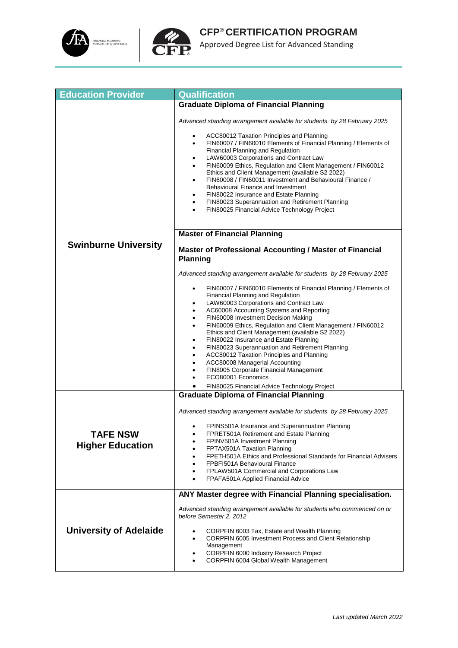



| <b>Education Provider</b>                  | <b>Qualification</b>                                                                                                                                                                                                                                                                                                                                                                                                                                                                                                                                                                                                                                                                                |
|--------------------------------------------|-----------------------------------------------------------------------------------------------------------------------------------------------------------------------------------------------------------------------------------------------------------------------------------------------------------------------------------------------------------------------------------------------------------------------------------------------------------------------------------------------------------------------------------------------------------------------------------------------------------------------------------------------------------------------------------------------------|
|                                            | <b>Graduate Diploma of Financial Planning</b>                                                                                                                                                                                                                                                                                                                                                                                                                                                                                                                                                                                                                                                       |
|                                            | Advanced standing arrangement available for students by 28 February 2025                                                                                                                                                                                                                                                                                                                                                                                                                                                                                                                                                                                                                            |
|                                            | ACC80012 Taxation Principles and Planning<br>FIN60007 / FIN60010 Elements of Financial Planning / Elements of<br>$\bullet$<br><b>Financial Planning and Regulation</b><br>LAW60003 Corporations and Contract Law<br>$\bullet$<br>FIN60009 Ethics, Regulation and Client Management / FIN60012<br>$\bullet$<br>Ethics and Client Management (available S2 2022)<br>FIN60008 / FIN60011 Investment and Behavioural Finance /<br>$\bullet$<br>Behavioural Finance and Investment<br>FIN80022 Insurance and Estate Planning<br>FIN80023 Superannuation and Retirement Planning<br>$\bullet$<br>FIN80025 Financial Advice Technology Project                                                             |
|                                            | <b>Master of Financial Planning</b>                                                                                                                                                                                                                                                                                                                                                                                                                                                                                                                                                                                                                                                                 |
|                                            |                                                                                                                                                                                                                                                                                                                                                                                                                                                                                                                                                                                                                                                                                                     |
| <b>Swinburne University</b>                | <b>Master of Professional Accounting / Master of Financial</b><br><b>Planning</b>                                                                                                                                                                                                                                                                                                                                                                                                                                                                                                                                                                                                                   |
|                                            | Advanced standing arrangement available for students by 28 February 2025                                                                                                                                                                                                                                                                                                                                                                                                                                                                                                                                                                                                                            |
|                                            | FIN60007 / FIN60010 Elements of Financial Planning / Elements of<br>$\bullet$<br>Financial Planning and Regulation<br>LAW60003 Corporations and Contract Law<br>$\bullet$<br>AC60008 Accounting Systems and Reporting<br>FIN60008 Investment Decision Making<br>٠<br>FIN60009 Ethics, Regulation and Client Management / FIN60012<br>Ethics and Client Management (available S2 2022)<br>FIN80022 Insurance and Estate Planning<br>$\bullet$<br>FIN80023 Superannuation and Retirement Planning<br>ACC80012 Taxation Principles and Planning<br>٠<br>ACC80008 Managerial Accounting<br>FIN8005 Corporate Financial Management<br>ECO80001 Economics<br>FIN80025 Financial Advice Technology Project |
|                                            | <b>Graduate Diploma of Financial Planning</b>                                                                                                                                                                                                                                                                                                                                                                                                                                                                                                                                                                                                                                                       |
| <b>TAFE NSW</b><br><b>Higher Education</b> | Advanced standing arrangement available for students by 28 February 2025<br>FPINS501A Insurance and Superannuation Planning<br>FPRET501A Retirement and Estate Planning<br>FPINV501A Investment Planning<br>FPTAX501A Taxation Planning<br>FPETH501A Ethics and Professional Standards for Financial Advisers<br>FPBFI501A Behavioural Finance<br>FPLAW501A Commercial and Corporations Law<br>FPAFA501A Applied Financial Advice                                                                                                                                                                                                                                                                   |
|                                            | ANY Master degree with Financial Planning specialisation.                                                                                                                                                                                                                                                                                                                                                                                                                                                                                                                                                                                                                                           |
| <b>University of Adelaide</b>              | Advanced standing arrangement available for students who commenced on or<br>before Semester 2, 2012<br>CORPFIN 6003 Tax, Estate and Wealth Planning<br>CORPFIN 6005 Investment Process and Client Relationship<br>Management<br>CORPFIN 6000 Industry Research Project<br>CORPFIN 6004 Global Wealth Management                                                                                                                                                                                                                                                                                                                                                                                     |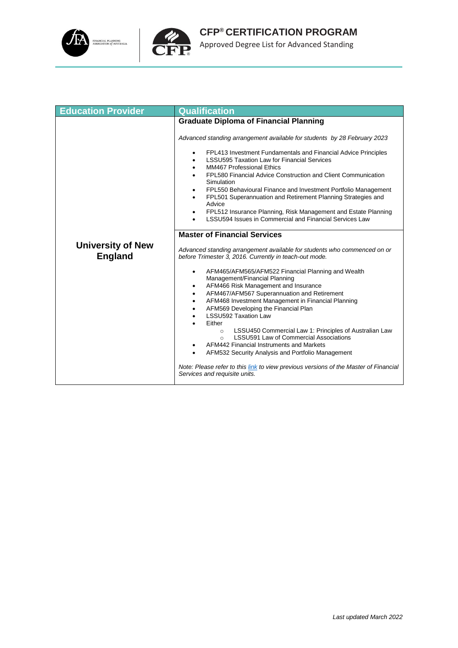



**CFP® CERTIFICATION PROGRAM** Approved Degree List for Advanced Standing

| <b>Education Provider</b>                  | <b>Qualification</b>                                                                                                                                                                                                                                                                                                                                                                                                                                                                                                                                                                                                                                                                                                                                     |
|--------------------------------------------|----------------------------------------------------------------------------------------------------------------------------------------------------------------------------------------------------------------------------------------------------------------------------------------------------------------------------------------------------------------------------------------------------------------------------------------------------------------------------------------------------------------------------------------------------------------------------------------------------------------------------------------------------------------------------------------------------------------------------------------------------------|
|                                            | <b>Graduate Diploma of Financial Planning</b>                                                                                                                                                                                                                                                                                                                                                                                                                                                                                                                                                                                                                                                                                                            |
|                                            | Advanced standing arrangement available for students by 28 February 2023<br>FPL413 Investment Fundamentals and Financial Advice Principles<br>٠<br><b>LSSU595 Taxation Law for Financial Services</b><br>$\bullet$<br><b>MM467 Professional Ethics</b><br>$\bullet$<br>FPL580 Financial Advice Construction and Client Communication<br>Simulation<br>FPL550 Behavioural Finance and Investment Portfolio Management<br>$\bullet$<br>FPL501 Superannuation and Retirement Planning Strategies and<br>$\bullet$<br>Advice<br>FPL512 Insurance Planning, Risk Management and Estate Planning<br>$\bullet$<br>LSSU594 Issues in Commercial and Financial Services Law                                                                                       |
|                                            | <b>Master of Financial Services</b>                                                                                                                                                                                                                                                                                                                                                                                                                                                                                                                                                                                                                                                                                                                      |
| <b>University of New</b><br><b>England</b> | Advanced standing arrangement available for students who commenced on or<br>before Trimester 3, 2016. Currently in teach-out mode.                                                                                                                                                                                                                                                                                                                                                                                                                                                                                                                                                                                                                       |
|                                            | AFM465/AFM565/AFM522 Financial Planning and Wealth<br>$\bullet$<br>Management/Financial Planning<br>AFM466 Risk Management and Insurance<br>$\bullet$<br>AFM467/AFM567 Superannuation and Retirement<br>$\bullet$<br>AFM468 Investment Management in Financial Planning<br>$\bullet$<br>AFM569 Developing the Financial Plan<br>$\bullet$<br><b>LSSU592 Taxation Law</b><br>Either<br>LSSU450 Commercial Law 1: Principles of Australian Law<br>$\circ$<br><b>LSSU591 Law of Commercial Associations</b><br>$\Omega$<br>AFM442 Financial Instruments and Markets<br>٠<br>AFM532 Security Analysis and Portfolio Management<br>٠<br>Note: Please refer to this link to view previous versions of the Master of Financial<br>Services and requisite units. |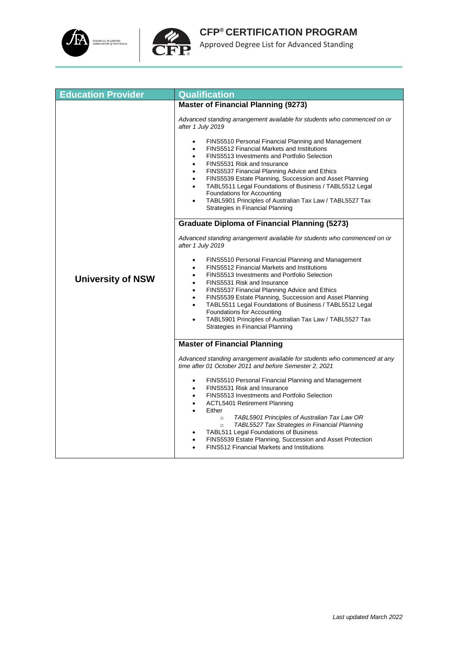



| <b>Education Provider</b> | Qualification                                                                                                                                                                                                                                                                                                                                                                                                                                                                                                                                                               |
|---------------------------|-----------------------------------------------------------------------------------------------------------------------------------------------------------------------------------------------------------------------------------------------------------------------------------------------------------------------------------------------------------------------------------------------------------------------------------------------------------------------------------------------------------------------------------------------------------------------------|
|                           | <b>Master of Financial Planning (9273)</b>                                                                                                                                                                                                                                                                                                                                                                                                                                                                                                                                  |
|                           | Advanced standing arrangement available for students who commenced on or<br>after 1 July 2019                                                                                                                                                                                                                                                                                                                                                                                                                                                                               |
|                           | FINS5510 Personal Financial Planning and Management<br>$\bullet$<br>FINS5512 Financial Markets and Institutions<br>$\bullet$<br>FINS5513 Investments and Portfolio Selection<br>٠<br>FINS5531 Risk and Insurance<br>$\bullet$<br>FINS5537 Financial Planning Advice and Ethics<br>٠<br>FINS5539 Estate Planning, Succession and Asset Planning<br>$\bullet$<br>TABL5511 Legal Foundations of Business / TABL5512 Legal<br>$\bullet$<br>Foundations for Accounting<br>TABL5901 Principles of Australian Tax Law / TABL5527 Tax<br>Strategies in Financial Planning           |
|                           | <b>Graduate Diploma of Financial Planning (5273)</b>                                                                                                                                                                                                                                                                                                                                                                                                                                                                                                                        |
| <b>University of NSW</b>  | Advanced standing arrangement available for students who commenced on or<br>after 1 July 2019                                                                                                                                                                                                                                                                                                                                                                                                                                                                               |
|                           | FINS5510 Personal Financial Planning and Management<br><b>FINS5512 Financial Markets and Institutions</b><br>$\bullet$<br>FINS5513 Investments and Portfolio Selection<br>$\bullet$<br>FINS5531 Risk and Insurance<br>$\bullet$<br>FINS5537 Financial Planning Advice and Ethics<br>$\bullet$<br>FINS5539 Estate Planning, Succession and Asset Planning<br>$\bullet$<br>TABL5511 Legal Foundations of Business / TABL5512 Legal<br>$\bullet$<br>Foundations for Accounting<br>TABL5901 Principles of Australian Tax Law / TABL5527 Tax<br>Strategies in Financial Planning |
|                           | <b>Master of Financial Planning</b>                                                                                                                                                                                                                                                                                                                                                                                                                                                                                                                                         |
|                           | Advanced standing arrangement available for students who commenced at any<br>time after 01 October 2011 and before Semester 2, 2021                                                                                                                                                                                                                                                                                                                                                                                                                                         |
|                           | FINS5510 Personal Financial Planning and Management<br>$\bullet$<br>FINS5531 Risk and Insurance<br>$\bullet$<br>FINS5513 Investments and Portfolio Selection<br>$\bullet$<br>ACTL5401 Retirement Planning<br>$\bullet$<br>Either<br>$\bullet$<br>TABL5901 Principles of Australian Tax Law OR<br>$\circ$<br>TABL5527 Tax Strategies in Financial Planning<br>$\circ$<br><b>TABL511 Legal Foundations of Business</b><br>FINS5539 Estate Planning, Succession and Asset Protection<br><b>FINS512 Financial Markets and Institutions</b>                                      |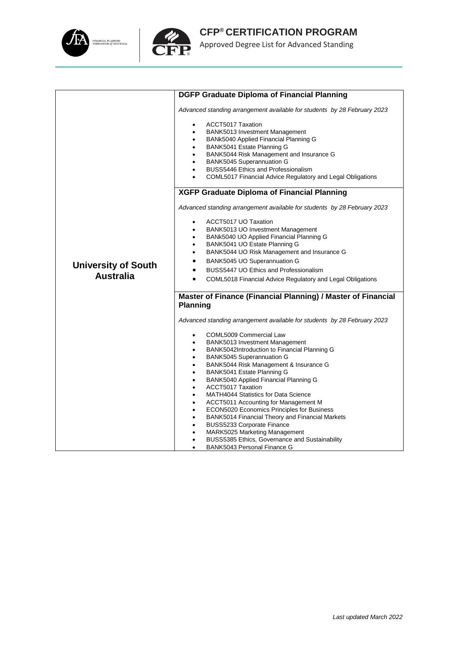



|                                                | <b>DGFP Graduate Diploma of Financial Planning</b>                                                                                                                                                                                                                                                                                                                                                                                                                                                                                                                                                                                                                                                                                         |
|------------------------------------------------|--------------------------------------------------------------------------------------------------------------------------------------------------------------------------------------------------------------------------------------------------------------------------------------------------------------------------------------------------------------------------------------------------------------------------------------------------------------------------------------------------------------------------------------------------------------------------------------------------------------------------------------------------------------------------------------------------------------------------------------------|
|                                                | Advanced standing arrangement available for students by 28 February 2023                                                                                                                                                                                                                                                                                                                                                                                                                                                                                                                                                                                                                                                                   |
|                                                | <b>ACCT5017 Taxation</b><br>BANK5013 Investment Management<br>$\bullet$<br>BANk5040 Applied Financial Planning G<br>BANK5041 Estate Planning G<br>$\bullet$<br>BANK5044 Risk Management and Insurance G<br><b>BANK5045 Superannuation G</b><br>$\bullet$<br>BUSS5446 Ethics and Professionalism<br>COML5017 Financial Advice Regulatory and Legal Obligations                                                                                                                                                                                                                                                                                                                                                                              |
|                                                | <b>XGFP Graduate Diploma of Financial Planning</b>                                                                                                                                                                                                                                                                                                                                                                                                                                                                                                                                                                                                                                                                                         |
|                                                | Advanced standing arrangement available for students by 28 February 2023                                                                                                                                                                                                                                                                                                                                                                                                                                                                                                                                                                                                                                                                   |
| <b>University of South</b><br><b>Australia</b> | ACCT5017 UO Taxation<br>BANK5013 UO Investment Management<br>BANk5040 UO Applied Financial Planning G<br>BANK5041 UO Estate Planning G<br>$\bullet$<br>BANK5044 UO Risk Management and Insurance G<br>BANK5045 UO Superannuation G<br>$\bullet$<br>BUSS5447 UO Ethics and Professionalism<br>COML5018 Financial Advice Regulatory and Legal Obligations                                                                                                                                                                                                                                                                                                                                                                                    |
|                                                | Master of Finance (Financial Planning) / Master of Financial                                                                                                                                                                                                                                                                                                                                                                                                                                                                                                                                                                                                                                                                               |
|                                                | <b>Planning</b>                                                                                                                                                                                                                                                                                                                                                                                                                                                                                                                                                                                                                                                                                                                            |
|                                                | Advanced standing arrangement available for students by 28 February 2023                                                                                                                                                                                                                                                                                                                                                                                                                                                                                                                                                                                                                                                                   |
|                                                | COML5009 Commercial Law<br>$\bullet$<br>BANK5013 Investment Management<br>$\bullet$<br>BANK5042Introduction to Financial Planning G<br><b>BANK5045 Superannuation G</b><br>$\bullet$<br>BANK5044 Risk Management & Insurance G<br>BANK5041 Estate Planning G<br>$\bullet$<br>BANK5040 Applied Financial Planning G<br><b>ACCT5017 Taxation</b><br><b>MATH4044 Statistics for Data Science</b><br>$\bullet$<br>ACCT5011 Accounting for Management M<br>$\bullet$<br>ECON5020 Economics Principles for Business<br>$\bullet$<br>BANK5014 Financial Theory and Financial Markets<br>BUSS5233 Corporate Finance<br>MARK5025 Marketing Management<br>BUSS5385 Ethics, Governance and Sustainability<br>BANK5043 Personal Finance G<br>$\bullet$ |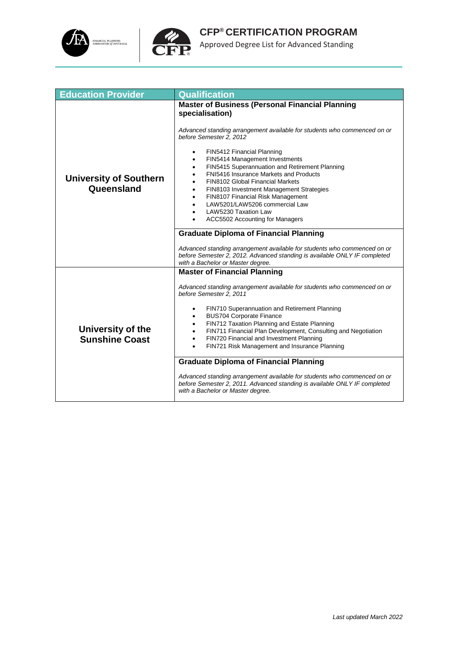



| <b>Education Provider</b>                  | <b>Qualification</b>                                                                                                                                                                       |  |  |
|--------------------------------------------|--------------------------------------------------------------------------------------------------------------------------------------------------------------------------------------------|--|--|
|                                            | <b>Master of Business (Personal Financial Planning</b><br>specialisation)                                                                                                                  |  |  |
|                                            | Advanced standing arrangement available for students who commenced on or<br>before Semester 2, 2012                                                                                        |  |  |
|                                            | FIN5412 Financial Planning<br>٠<br>FIN5414 Management Investments                                                                                                                          |  |  |
|                                            | FIN5415 Superannuation and Retirement Planning<br>FNI5416 Insurance Markets and Products                                                                                                   |  |  |
| <b>University of Southern</b>              | <b>FIN8102 Global Financial Markets</b>                                                                                                                                                    |  |  |
| Queensland                                 | FIN8103 Investment Management Strategies<br>٠<br>FIN8107 Financial Risk Management<br>$\bullet$                                                                                            |  |  |
|                                            | LAW5201/LAW5206 commercial Law                                                                                                                                                             |  |  |
|                                            | LAW5230 Taxation Law                                                                                                                                                                       |  |  |
|                                            | ACC5502 Accounting for Managers                                                                                                                                                            |  |  |
|                                            | <b>Graduate Diploma of Financial Planning</b>                                                                                                                                              |  |  |
|                                            | Advanced standing arrangement available for students who commenced on or<br>before Semester 2, 2012. Advanced standing is available ONLY IF completed<br>with a Bachelor or Master degree. |  |  |
|                                            | <b>Master of Financial Planning</b>                                                                                                                                                        |  |  |
|                                            | Advanced standing arrangement available for students who commenced on or<br>before Semester 2, 2011                                                                                        |  |  |
| University of the<br><b>Sunshine Coast</b> | FIN710 Superannuation and Retirement Planning                                                                                                                                              |  |  |
|                                            | <b>BUS704 Corporate Finance</b>                                                                                                                                                            |  |  |
|                                            | FIN712 Taxation Planning and Estate Planning<br>FIN711 Financial Plan Development, Consulting and Negotiation<br>$\bullet$                                                                 |  |  |
|                                            | FIN720 Financial and Investment Planning<br>$\bullet$                                                                                                                                      |  |  |
|                                            | FIN721 Risk Management and Insurance Planning                                                                                                                                              |  |  |
|                                            | <b>Graduate Diploma of Financial Planning</b>                                                                                                                                              |  |  |
|                                            | Advanced standing arrangement available for students who commenced on or<br>before Semester 2, 2011. Advanced standing is available ONLY IF completed<br>with a Bachelor or Master degree. |  |  |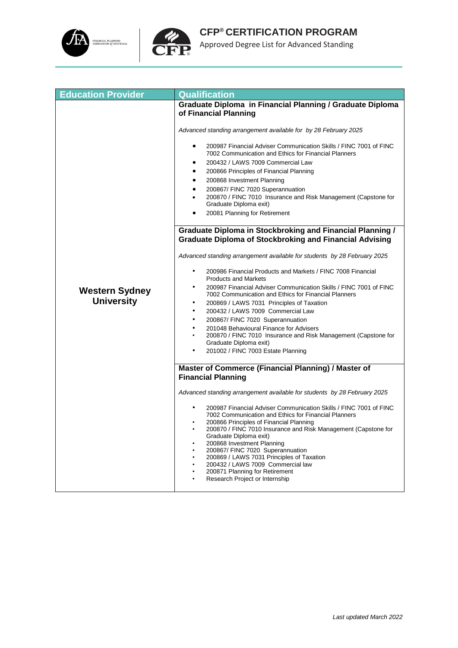



| <b>Education Provider</b>                  | Qualification                                                                                                                                                                                                                                                                                                                                                                                                                                                                                                                                                                                                                                                                |  |  |
|--------------------------------------------|------------------------------------------------------------------------------------------------------------------------------------------------------------------------------------------------------------------------------------------------------------------------------------------------------------------------------------------------------------------------------------------------------------------------------------------------------------------------------------------------------------------------------------------------------------------------------------------------------------------------------------------------------------------------------|--|--|
|                                            | Graduate Diploma in Financial Planning / Graduate Diploma<br>of Financial Planning                                                                                                                                                                                                                                                                                                                                                                                                                                                                                                                                                                                           |  |  |
|                                            | Advanced standing arrangement available for by 28 February 2025                                                                                                                                                                                                                                                                                                                                                                                                                                                                                                                                                                                                              |  |  |
|                                            | 200987 Financial Adviser Communication Skills / FINC 7001 of FINC<br>$\bullet$<br>7002 Communication and Ethics for Financial Planners<br>200432 / LAWS 7009 Commercial Law<br>200866 Principles of Financial Planning<br>$\bullet$<br>200868 Investment Planning<br>$\bullet$<br>200867/ FINC 7020 Superannuation<br>200870 / FINC 7010 Insurance and Risk Management (Capstone for<br>Graduate Diploma exit)<br>20081 Planning for Retirement<br><b>Graduate Diploma in Stockbroking and Financial Planning /</b>                                                                                                                                                          |  |  |
|                                            | <b>Graduate Diploma of Stockbroking and Financial Advising</b>                                                                                                                                                                                                                                                                                                                                                                                                                                                                                                                                                                                                               |  |  |
| <b>Western Sydney</b><br><b>University</b> | Advanced standing arrangement available for students by 28 February 2025<br>200986 Financial Products and Markets / FINC 7008 Financial<br>$\bullet$<br><b>Products and Markets</b><br>200987 Financial Adviser Communication Skills / FINC 7001 of FINC<br>7002 Communication and Ethics for Financial Planners<br>200869 / LAWS 7031 Principles of Taxation<br>٠<br>$\bullet$<br>200432 / LAWS 7009 Commercial Law<br>200867/ FINC 7020 Superannuation<br>$\bullet$<br>$\bullet$<br>201048 Behavioural Finance for Advisers<br>200870 / FINC 7010 Insurance and Risk Management (Capstone for<br>$\bullet$<br>Graduate Diploma exit)<br>201002 / FINC 7003 Estate Planning |  |  |
|                                            | Master of Commerce (Financial Planning) / Master of<br><b>Financial Planning</b>                                                                                                                                                                                                                                                                                                                                                                                                                                                                                                                                                                                             |  |  |
|                                            | Advanced standing arrangement available for students by 28 February 2025<br>200987 Financial Adviser Communication Skills / FINC 7001 of FINC<br>7002 Communication and Ethics for Financial Planners<br>200866 Principles of Financial Planning<br>200870 / FINC 7010 Insurance and Risk Management (Capstone for<br>Graduate Diploma exit)<br>200868 Investment Planning<br>200867/ FINC 7020 Superannuation<br>200869 / LAWS 7031 Principles of Taxation<br>200432 / LAWS 7009 Commercial law<br>200871 Planning for Retirement<br>Research Project or Internship                                                                                                         |  |  |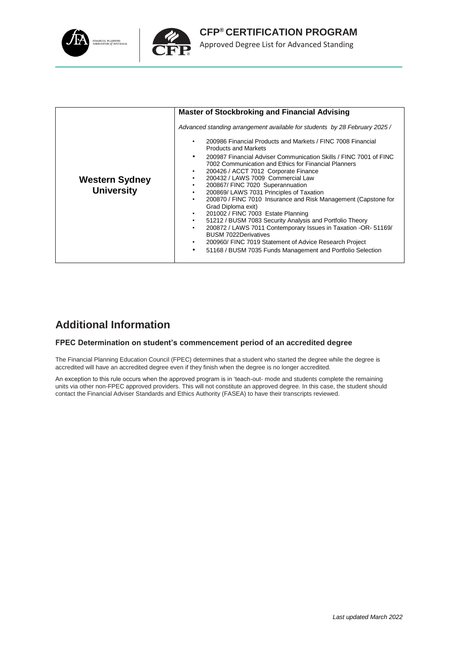

| <b>Master of Stockbroking and Financial Advising</b><br>200986 Financial Products and Markets / FINC 7008 Financial<br>٠<br><b>Products and Markets</b><br>٠<br>7002 Communication and Ethics for Financial Planners<br>200426 / ACCT 7012 Corporate Finance<br>$\bullet$<br>200432 / LAWS 7009 Commercial Law<br>$\bullet$<br><b>Western Sydney</b><br>200867/ FINC 7020 Superannuation<br>$\bullet$<br><b>University</b><br>200869/ LAWS 7031 Principles of Taxation<br>$\bullet$<br>٠<br>Grad Diploma exit) |  |                                                                                                                                                                                                                                                          |  |
|----------------------------------------------------------------------------------------------------------------------------------------------------------------------------------------------------------------------------------------------------------------------------------------------------------------------------------------------------------------------------------------------------------------------------------------------------------------------------------------------------------------|--|----------------------------------------------------------------------------------------------------------------------------------------------------------------------------------------------------------------------------------------------------------|--|
|                                                                                                                                                                                                                                                                                                                                                                                                                                                                                                                |  |                                                                                                                                                                                                                                                          |  |
|                                                                                                                                                                                                                                                                                                                                                                                                                                                                                                                |  | Advanced standing arrangement available for students by 28 February 2025 /                                                                                                                                                                               |  |
|                                                                                                                                                                                                                                                                                                                                                                                                                                                                                                                |  |                                                                                                                                                                                                                                                          |  |
| 51212 / BUSM 7083 Security Analysis and Portfolio Theory<br>$\bullet$<br>$\bullet$<br><b>BUSM 7022Derivatives</b><br>200960/ FINC 7019 Statement of Advice Research Project<br>$\bullet$<br>51168 / BUSM 7035 Funds Management and Portfolio Selection<br>$\bullet$                                                                                                                                                                                                                                            |  | 200987 Financial Adviser Communication Skills / FINC 7001 of FINC<br>200870 / FINC 7010 Insurance and Risk Management (Capstone for<br>201002 / FINC 7003 Estate Planning<br>$\bullet$<br>200872 / LAWS 7011 Contemporary Issues in Taxation -OR- 51169/ |  |

#### **Additional Information**

#### **FPEC Determination on student's commencement period of an accredited degree**

The Financial Planning Education Council (FPEC) determines that a student who started the degree while the degree is accredited will have an accredited degree even if they finish when the degree is no longer accredited.

An exception to this rule occurs when the approved program is in 'teach-out- mode and students complete the remaining units via other non-FPEC approved providers. This will not constitute an approved degree. In this case, the student should contact the Financial Adviser Standards and Ethics Authority (FASEA) to have their transcripts reviewed.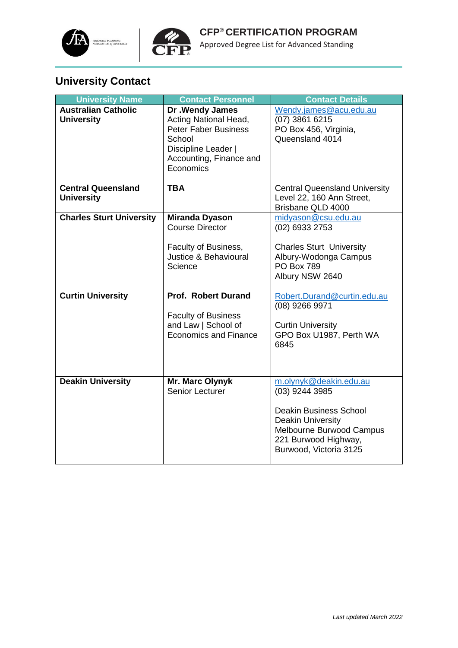



# **University Contact**

| <b>University Name</b>                          | <b>Contact Personnel</b>                                                                                                                          | <b>Contact Details</b>                                                                                                                                                              |
|-------------------------------------------------|---------------------------------------------------------------------------------------------------------------------------------------------------|-------------------------------------------------------------------------------------------------------------------------------------------------------------------------------------|
| <b>Australian Catholic</b><br><b>University</b> | Dr . Wendy James<br>Acting National Head,<br><b>Peter Faber Business</b><br>School<br>Discipline Leader  <br>Accounting, Finance and<br>Economics | Wendy.james@acu.edu.au<br>$(07)$ 3861 6215<br>PO Box 456, Virginia,<br>Queensland 4014                                                                                              |
| <b>Central Queensland</b><br><b>University</b>  | <b>TBA</b>                                                                                                                                        | <b>Central Queensland University</b><br>Level 22, 160 Ann Street,<br>Brisbane QLD 4000                                                                                              |
| <b>Charles Sturt University</b>                 | <b>Miranda Dyason</b><br><b>Course Director</b><br>Faculty of Business,<br>Justice & Behavioural<br>Science                                       | midyason@csu.edu.au<br>(02) 6933 2753<br><b>Charles Sturt University</b><br>Albury-Wodonga Campus<br><b>PO Box 789</b><br>Albury NSW 2640                                           |
| <b>Curtin University</b>                        | <b>Prof. Robert Durand</b><br><b>Faculty of Business</b><br>and Law   School of<br><b>Economics and Finance</b>                                   | Robert.Durand@curtin.edu.au<br>(08) 9266 9971<br><b>Curtin University</b><br>GPO Box U1987, Perth WA<br>6845                                                                        |
| <b>Deakin University</b>                        | Mr. Marc Olynyk<br><b>Senior Lecturer</b>                                                                                                         | m.olynyk@deakin.edu.au<br>(03) 9244 3985<br><b>Deakin Business School</b><br><b>Deakin University</b><br>Melbourne Burwood Campus<br>221 Burwood Highway,<br>Burwood, Victoria 3125 |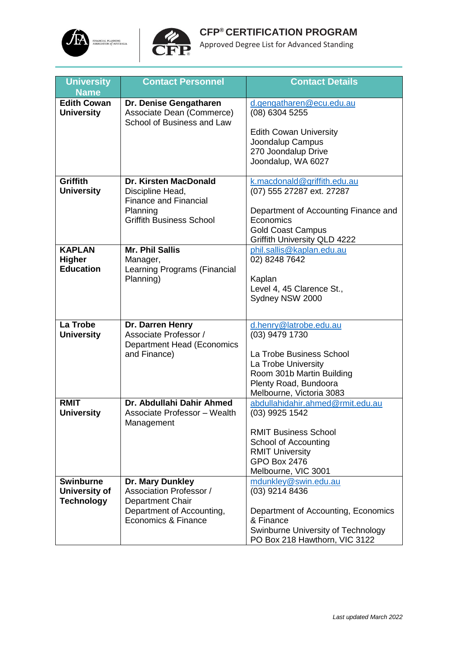



| <b>University</b><br><b>Name</b>                       | <b>Contact Personnel</b>                                                                                                 | <b>Contact Details</b>                                                                                                                                                            |
|--------------------------------------------------------|--------------------------------------------------------------------------------------------------------------------------|-----------------------------------------------------------------------------------------------------------------------------------------------------------------------------------|
| <b>Edith Cowan</b><br><b>University</b>                | Dr. Denise Gengatharen<br>Associate Dean (Commerce)<br>School of Business and Law                                        | d.gengatharen@ecu.edu.au<br>(08) 6304 5255<br><b>Edith Cowan University</b><br>Joondalup Campus<br>270 Joondalup Drive<br>Joondalup, WA 6027                                      |
| <b>Griffith</b><br><b>University</b>                   | Dr. Kirsten MacDonald<br>Discipline Head,<br><b>Finance and Financial</b><br>Planning<br><b>Griffith Business School</b> | k.macdonald@griffith.edu.au<br>(07) 555 27287 ext. 27287<br>Department of Accounting Finance and<br>Economics<br><b>Gold Coast Campus</b><br><b>Griffith University QLD 4222</b>  |
| <b>KAPLAN</b><br><b>Higher</b><br><b>Education</b>     | <b>Mr. Phil Sallis</b><br>Manager,<br>Learning Programs (Financial<br>Planning)                                          | phil.sallis@kaplan.edu.au<br>02) 8248 7642<br>Kaplan<br>Level 4, 45 Clarence St.,<br>Sydney NSW 2000                                                                              |
| La Trobe<br><b>University</b>                          | Dr. Darren Henry<br>Associate Professor /<br><b>Department Head (Economics</b><br>and Finance)                           | d.henry@latrobe.edu.au<br>(03) 9479 1730<br>La Trobe Business School<br>La Trobe University<br>Room 301b Martin Building<br>Plenty Road, Bundoora<br>Melbourne, Victoria 3083     |
| <b>RMIT</b><br><b>University</b>                       | Dr. Abdullahi Dahir Ahmed<br>Associate Professor - Wealth<br>Management                                                  | abdullahidahir.ahmed@rmit.edu.au<br>(03) 9925 1542<br><b>RMIT Business School</b><br>School of Accounting<br><b>RMIT University</b><br><b>GPO Box 2476</b><br>Melbourne, VIC 3001 |
| <b>Swinburne</b><br>University of<br><b>Technology</b> | Dr. Mary Dunkley<br>Association Professor /<br>Department Chair<br>Department of Accounting,<br>Economics & Finance      | mdunkley@swin.edu.au<br>(03) 9214 8436<br>Department of Accounting, Economics<br>& Finance<br>Swinburne University of Technology<br>PO Box 218 Hawthorn, VIC 3122                 |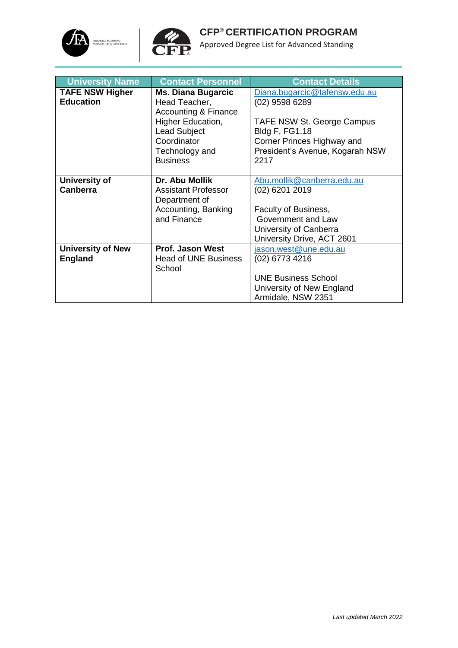



| <b>University Name</b>   | <b>Contact Personnel</b>        | <b>Contact Details</b>          |
|--------------------------|---------------------------------|---------------------------------|
| <b>TAFE NSW Higher</b>   | <b>Ms. Diana Bugarcic</b>       | Diana.bugarcic@tafensw.edu.au   |
| <b>Education</b>         | Head Teacher,                   | $(02)$ 9598 6289                |
|                          | <b>Accounting &amp; Finance</b> |                                 |
|                          | Higher Education,               | TAFE NSW St. George Campus      |
|                          | <b>Lead Subject</b>             | <b>Bldg F, FG1.18</b>           |
|                          | Coordinator                     | Corner Princes Highway and      |
|                          | Technology and                  | President's Avenue, Kogarah NSW |
|                          | <b>Business</b>                 | 2217                            |
|                          |                                 |                                 |
| University of            | Dr. Abu Mollik                  | Abu.mollik@canberra.edu.au      |
| <b>Canberra</b>          | <b>Assistant Professor</b>      | (02) 6201 2019                  |
|                          | Department of                   |                                 |
|                          | Accounting, Banking             | Faculty of Business,            |
|                          | and Finance                     | Government and Law              |
|                          |                                 | University of Canberra          |
|                          |                                 | University Drive, ACT 2601      |
| <b>University of New</b> | <b>Prof. Jason West</b>         | jason.west@une.edu.au           |
| <b>England</b>           | Head of UNE Business            | (02) 6773 4216                  |
|                          | School                          |                                 |
|                          |                                 | <b>UNE Business School</b>      |
|                          |                                 | University of New England       |
|                          |                                 | Armidale, NSW 2351              |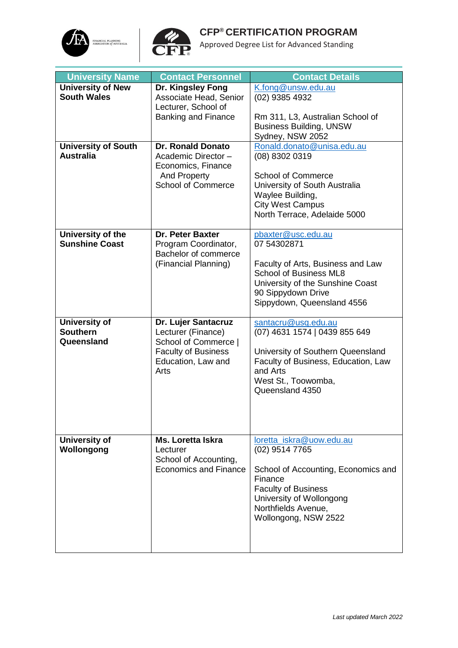



| <b>University Name</b>     | <b>Contact Personnel</b>     | <b>Contact Details</b>              |
|----------------------------|------------------------------|-------------------------------------|
| <b>University of New</b>   | Dr. Kingsley Fong            | K.fong@unsw.edu.au                  |
| <b>South Wales</b>         | Associate Head, Senior       | (02) 9385 4932                      |
|                            | Lecturer, School of          |                                     |
|                            | <b>Banking and Finance</b>   | Rm 311, L3, Australian School of    |
|                            |                              |                                     |
|                            |                              | <b>Business Building, UNSW</b>      |
|                            |                              | Sydney, NSW 2052                    |
| <b>University of South</b> | <b>Dr. Ronald Donato</b>     | Ronald.donato@unisa.edu.au          |
| <b>Australia</b>           | Academic Director -          | (08) 8302 0319                      |
|                            | Economics, Finance           |                                     |
|                            | And Property                 | <b>School of Commerce</b>           |
|                            | <b>School of Commerce</b>    | University of South Australia       |
|                            |                              | Waylee Building,                    |
|                            |                              | <b>City West Campus</b>             |
|                            |                              | North Terrace, Adelaide 5000        |
|                            |                              |                                     |
| University of the          | <b>Dr. Peter Baxter</b>      | pbaxter@usc.edu.au                  |
| <b>Sunshine Coast</b>      | Program Coordinator,         | 07 54302871                         |
|                            | Bachelor of commerce         |                                     |
|                            | (Financial Planning)         | Faculty of Arts, Business and Law   |
|                            |                              | <b>School of Business ML8</b>       |
|                            |                              | University of the Sunshine Coast    |
|                            |                              | 90 Sippydown Drive                  |
|                            |                              | Sippydown, Queensland 4556          |
|                            |                              |                                     |
| <b>University of</b>       | Dr. Lujer Santacruz          | santacru@usq.edu.au                 |
| <b>Southern</b>            | Lecturer (Finance)           | (07) 4631 1574   0439 855 649       |
| Queensland                 | School of Commerce           |                                     |
|                            | <b>Faculty of Business</b>   | University of Southern Queensland   |
|                            | Education, Law and           | Faculty of Business, Education, Law |
|                            | Arts                         | and Arts                            |
|                            |                              | West St., Toowomba,                 |
|                            |                              | Queensland 4350                     |
|                            |                              |                                     |
|                            |                              |                                     |
|                            |                              |                                     |
|                            |                              |                                     |
| University of              | Ms. Loretta Iskra            | loretta iskra@uow.edu.au            |
| Wollongong                 | Lecturer                     | (02) 9514 7765                      |
|                            | School of Accounting,        |                                     |
|                            | <b>Economics and Finance</b> | School of Accounting, Economics and |
|                            |                              | Finance                             |
|                            |                              | <b>Faculty of Business</b>          |
|                            |                              | University of Wollongong            |
|                            |                              | Northfields Avenue,                 |
|                            |                              | Wollongong, NSW 2522                |
|                            |                              |                                     |
|                            |                              |                                     |
|                            |                              |                                     |
|                            |                              |                                     |